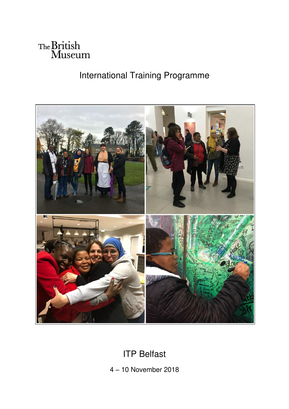

# International Training Programme



# ITP Belfast

4 – 10 November 2018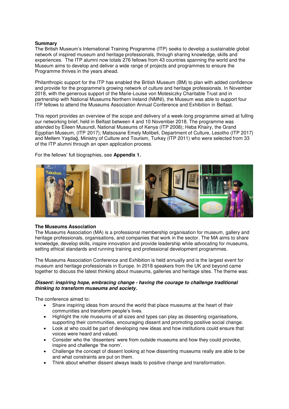### **Summary**

The British Museum's International Training Programme (ITP) seeks to develop a sustainable global network of inspired museum and heritage professionals, through sharing knowledge, skills and experiences. The ITP alumni now totals 276 fellows from 43 countries spanning the world and the Museum aims to develop and deliver a wide range of projects and programmes to ensure the Programme thrives in the years ahead.

Philanthropic support for the ITP has enabled the British Museum (BM) to plan with added confidence and provide for the programme's growing network of culture and heritage professionals. In November 2018, with the generous support of the Marie-Louise von Motesiczky Charitable Trust and in partnership with National Museums Northern Ireland (NMNI), the Museum was able to support four ITP fellows to attend the Museums Association Annual Conference and Exhibition in Belfast.

This report provides an overview of the scope and delivery of a week-long programme aimed at fulling our networking brief, held in Belfast between 4 and 10 November 2018. The programme was attended by Eileen Musundi, National Museums of Kenya (ITP 2008); Heba Khairy, the Grand Egyptian Museum, (ITP 2017); Matsosane Emely Molibeli, Department of Culture, Lesotho (ITP 2017) and Meltem Yaşdağ, Ministry of Culture and Tourism, Turkey (ITP 2011) who were selected from 33 of the ITP alumni through an open application process.

### For the fellows' full biographies, see **Appendix 1***.*



### **The Museums Association**

The Museums Association (MA) is a professional membership organisation for museum, gallery and heritage professionals, organisations, and companies that work in the sector. The MA aims to share knowledge, develop skills, inspire innovation and provide leadership while advocating for museums, setting ethical standards and running training and professional development programmes.

The Museums Association Conference and Exhibition is held annually and is the largest event for museum and heritage professionals in Europe. In 2018 speakers from the UK and beyond came together to discuss the latest thinking about museums, galleries and heritage sites. The theme was:

### *Dissent: inspiring hope, embracing change - having the courage to challenge traditional thinking to transform museums and society.*

The conference aimed to:

- Share inspiring ideas from around the world that place museums at the heart of their communities and transform people's lives.
- Highlight the role museums of all sizes and types can play as dissenting organisations, supporting their communities, encouraging dissent and promoting positive social change.
- Look at who could be part of developing new ideas and how institutions could ensure that voices were heard and valued.
- Consider who the 'dissenters' were from outside museums and how they could provoke, inspire and challenge 'the norm'.
- Challenge the concept of dissent looking at how dissenting museums really are able to be and what constraints are put on them.
- Think about whether dissent always leads to positive change and transformation.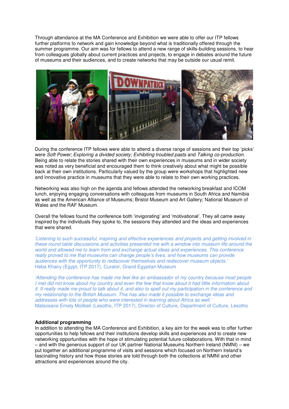Through attendance at the MA Conference and Exhibition we were able to offer our ITP fellows further platforms to network and gain knowledge beyond what is traditionally offered through the summer programme. Our aim was for fellows to attend a new range of skills-building sessions, to hear from colleagues globally about current practices and projects, to engage in debates around the future of museums and their audiences, and to create networks that may be outside our usual remit.



During the conference ITP fellows were able to attend a diverse range of sessions and their top 'picks' were *Soft Power; Exploring a divided society; Exhibiting troubled pasts* and *Talking co-production.*  Being able to relate the stories shared with their own experiences in museums and in wider society was noted as very beneficial and encouraged them to think creatively about what might be possible back at their own institutions. Particularly valued by the group were workshops that highlighted new and innovative practice in museums that they were able to relate to their own working practices.

Networking was also high on the agenda and fellows attended the networking breakfast and ICOM lunch, enjoying engaging conversations with colleagues from museums in South Africa and Namibia as well as the American Alliance of Museums; Bristol Museum and Art Gallery; National Museum of Wales and the RAF Museum.

Overall the fellows found the conference both 'invigorating' and 'motivational'. They all came away inspired by the individuals they spoke to, the sessions they attended and the ideas and experiences that were shared.

*'Listening to such successful, inspiring and effective experiences and projects and getting involved in these round table discussions and activities presented me with a window into museum life around the world and allowed me to learn from and exchange actual ideas and experiences. This conference really proved to me that museums can change people's lives, and how museums can provide audiences with the opportunity to rediscover themselves and rediscover museum objects.'* Heba Khairy (Egypt, ITP 2017), Curator, Grand Egyptian Museum

*'Attending the conference has made me feel like an ambassador of my country because most people I met did not know about my country and even the few that know about it had little information about it. It really made me proud to talk about it, and also to spell out my participation in the conference and my relationship to the British Museum. This has also made it possible to exchange ideas and addresses with lots of people who were interested in learning about Africa as well.'* Matsosane Emely Molibeli (Lesotho, ITP 2017), Director of Culture, Department of Culture, Lesotho

### **Additional programming**

In addition to attending the MA Conference and Exhibition, a key aim for the week was to offer further opportunities to help fellows and their institutions develop skills and experiences and to create new networking opportunities with the hope of stimulating potential future collaborations. With that in mind – and with the generous support of our UK partner National Museums Northern Ireland (NMNI) – we put together an additional programme of visits and sessions which focused on Northern Ireland's fascinating history and how those stories are told through both the collections at NMNI and other attractions and experiences around the city.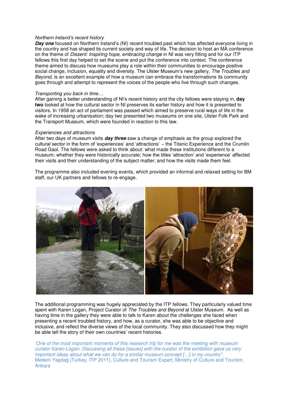### *Northern Ireland's recent history*

**Day one** focused on Northern Ireland's (NI) recent troubled past which has affected everyone living in the country and has shaped its current society and way of life. The decision to host an MA conference on the theme of *Dissent: Inspiring hope, embracing change* in NI was very fitting and for our ITP fellows this first day helped to set the scene and put the conference into context. The conference theme aimed to discuss how museums play a role within their communities to encourage positive social change, inclusion, equality and diversity. The Ulster Museum's new gallery, *The Troubles and Beyond*, is an excellent example of how a museum can embrace the transformations its community goes through and attempt to represent the voices of the people who live through such changes.

#### *Transporting you back in time…*

After gaining a better understanding of NI's recent history and the city fellows were staying in, **day two** looked at how the cultural sector in NI preserves its earlier history and how it is presented to visitors. In 1958 an act of parliament was passed which aimed to preserve rural ways of life in the wake of increasing urbanisation; day two presented two museums on one site, Ulster Folk Park and the Transport Museum, which were founded in reaction to this law.

#### *Experiences and attractions*

After two days of museum visits *day three* saw a change of emphasis as the group explored the cultural sector in the form of 'experiences' and 'attractions' – the Titanic Experience and the Crumlin Road Gaol. The fellows were asked to think about: what made these institutions different to a museum; whether they were historically accurate; how the titles 'attraction' and 'experience' affected their visits and their understanding of the subject matter; and how the visits made them feel.

The programme also included evening events, which provided an informal and relaxed setting for BM staff, our UK partners and fellows to re-engage.



The additional programming was hugely appreciated by the ITP fellows. They particularly valued time spent with Karen Logan, Project Curator of *The Troubles and Beyond* at Ulster Museum. As well as having time in the gallery they were able to talk to Karen about the challenges she faced when presenting a recent troubled history, and how, as a curator, she was able to be objective and inclusive, and reflect the diverse views of the local community. They also discussed how they might be able tell the story of their own countries' recent histories.

*'One of the most important moments of this research trip for me was the meeting with museum curator Karen Logan. Discussing all these [issues] with the curator of the exhibition gave us very important ideas about what we can do for a similar museum concept […] in my country".* Meltem Yaşdağ (Turkey, ITP 2011), Culture and Tourism Expert, Ministry of Culture and Tourism, Ankara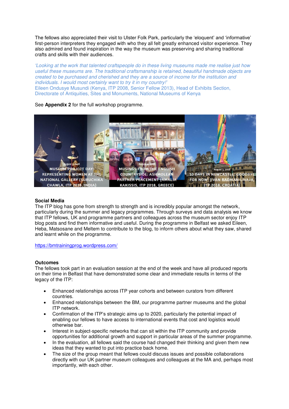The fellows also appreciated their visit to Ulster Folk Park, particularly the 'eloquent' and 'informative' first-person interpreters they engaged with who they all felt greatly enhanced visitor experience. They also admired and found inspiration in the way the museum was preserving and sharing traditional crafts and skills with their audiences.

*'Looking at the work that talented craftspeople do in these living museums made me realise just how useful these museums are. The traditional craftsmanship is retained, beautiful handmade objects are created to be purchased and cherished and they are a source of income for the institution and individuals. I would most certainly want to try it in my country!'* Eileen Ondusye Musundi (Kenya, ITP 2008, Senior Fellow 2013), Head of Exhibits Section, Directorate of Antiquities, Sites and Monuments, National Museums of Kenya

### See **Appendix 2** for the full workshop programme.



### **Social Media**

The ITP blog has gone from strength to strength and is incredibly popular amongst the network, particularly during the summer and legacy programmes. Through surveys and data analysis we know that ITP fellows, UK and programme partners and colleagues across the museum sector enjoy ITP blog posts and find them informative and useful. During the programme in Belfast we asked Eileen, Heba, Matsosane and Meltem to contribute to the blog, to inform others about what they saw, shared and learnt while on the programme.

<https://bmtrainingprog.wordpress.com/>

### **Outcomes**

The fellows took part in an evaluation session at the end of the week and have all produced reports on their time in Belfast that have demonstrated some clear and immediate results in terms of the legacy of the ITP:

- Enhanced relationships across ITP year cohorts and between curators from different countries.
- Enhanced relationships between the BM, our programme partner museums and the global ITP network.
- Confirmation of the ITP's strategic aims up to 2020, particularly the potential impact of enabling our fellows to have access to international events that cost and logistics would otherwise bar.
- Interest in subject-specific networks that can sit within the ITP community and provide opportunities for additional growth and support in particular areas of the summer programme.
- In the evaluation, all fellows said the course had changed their thinking and given them new ideas that they wanted to put into practice back home.
- The size of the group meant that fellows could discuss issues and possible collaborations directly with our UK partner museum colleagues and colleagues at the MA and, perhaps most importantly, with each other.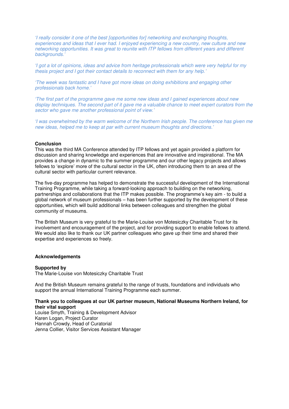*'I really consider it one of the best [opportunities for] networking and exchanging thoughts, experiences and ideas that I ever had. I enjoyed experiencing a new country, new culture and new networking opportunities. It was great to reunite with ITP fellows from different years and different backgrounds.'*

*'I got a lot of opinions, ideas and advice from heritage professionals which were very helpful for my thesis project and I got their contact details to reconnect with them for any help.'*

*'The week was fantastic and I have got more ideas on doing exhibitions and engaging other professionals back home.'*

*'The first part of the programme gave me some new ideas and I gained experiences about new display techniques. The second part of it gave me a valuable chance to meet expert curators from the sector who gave me another professional point of view.'*

*'I was overwhelmed by the warm welcome of the Northern Irish people. The conference has given me new ideas, helped me to keep at par with current museum thoughts and directions.'*

#### **Conclusion**

This was the third MA Conference attended by ITP fellows and yet again provided a platform for discussion and sharing knowledge and experiences that are innovative and inspirational. The MA provides a change in dynamic to the summer programme and our other legacy projects and allows fellows to 'explore' more of the cultural sector in the UK, often introducing them to an area of the cultural sector with particular current relevance.

The five-day programme has helped to demonstrate the successful development of the International Training Programme, while taking a forward-looking approach to building on the networking, partnerships and collaborations that the ITP makes possible. The programme's key aim - to build a global network of museum professionals – has been further supported by the development of these opportunities, which will build additional links between colleagues and strengthen the global community of museums.

The British Museum is very grateful to the Marie-Louise von Motesiczky Charitable Trust for its involvement and encouragement of the project, and for providing support to enable fellows to attend. We would also like to thank our UK partner colleagues who gave up their time and shared their expertise and experiences so freely.

### **Acknowledgements**

### **Supported by**

The Marie-Louise von Motesiczky Charitable Trust

And the British Museum remains grateful to the range of trusts, foundations and individuals who support the annual International Training Programme each summer.

### **Thank you to colleagues at our UK partner museum, National Museums Northern Ireland, for their vital support**

Louise Smyth, Training & Development Advisor Karen Logan, Project Curator Hannah Crowdy, Head of Curatorial Jenna Collier, Visitor Services Assistant Manager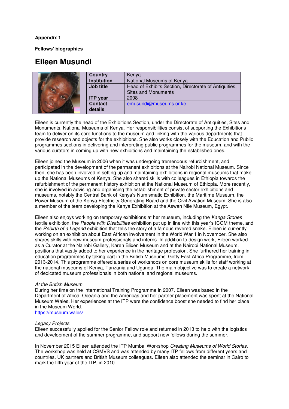### **Appendix 1**

**Fellows' biographies** 

## **Eileen Musundi**

|    | Country            | Kenva                                                 |
|----|--------------------|-------------------------------------------------------|
|    | <b>Institution</b> | National Museums of Kenya                             |
| T. | Job title          | Head of Exhibits Section, Directorate of Antiquities, |
|    |                    | <b>Sites and Monuments</b>                            |
|    | <b>ITP</b> year    | 2008                                                  |
|    | <b>Contact</b>     | emusundi@museums.or.ke                                |
|    | details            |                                                       |

Eileen is currently the head of the Exhibitions Section, under the Directorate of Antiquities, Sites and Monuments, National Museums of Kenya. Her responsibilities consist of supporting the Exhibitions team to deliver on its core functions to the museum and linking with the various departments that provide research and objects for the exhibitions. She also works closely with the Education and Public programmes sections in delivering and interpreting public programmes for the museum, and with the various curators in coming up with new exhibitions and maintaining the established ones.

Eileen joined the Museum in 2006 when it was undergoing tremendous refurbishment, and participated in the development of the permanent exhibitions at the Nairobi National Museum. Since then, she has been involved in setting up and maintaining exhibitions in regional museums that make up the National Museums of Kenya. She also shared skills with colleagues in Ethiopia towards the refurbishment of the permanent history exhibition at the National Museum of Ethiopia. More recently, she is involved in advising and organising the establishment of private sector exhibitions and museums, notably the Central Bank of Kenya's Numismatic Exhibition, the Maritime Museum, the Power Museum of the Kenya Electricity Generating Board and the Civil Aviation Museum. She is also a member of the team developing the Kenya Exhibition at the Aswan Nile Museum, Egypt.

Eileen also enjoys working on temporary exhibitions at her museum, including the *Kanga Stories* textile exhibition, the *People with Disabilities* exhibition put up in line with this year's ICOM theme, and the *Rebirth of a Legend* exhibition that tells the story of a famous revered snake. Eileen is currently working on an exhibition about East African involvement in the World War 1 in November. She also shares skills with new museum professionals and interns. In addition to design work, Eileen worked as a Curator at the Nairobi Gallery, Karen Blixen Museum and at the Nairobi National Museum, positions that vastly added to her experience in the heritage profession. She furthered her training in education programmes by taking part in the British Museums' Getty East Africa Programme, from 2013-2014. This programme offered a series of workshops on core museum skills for staff working at the national museums of Kenya, Tanzania and Uganda. The main objective was to create a network of dedicated museum professionals in both national and regional museums.

### *At the British Museum*

During her time on the International Training Programme in 2007, Eileen was based in the Department of Africa, Oceania and the Americas and her partner placement was spent at the National Museum Wales. Her experiences at the ITP were the confidence boost she needed to find her place in the Museum World.

### <https://museum.wales/>

### *Legacy Projects*

Eileen successfully applied for the Senior Fellow role and returned in 2013 to help with the logistics and development of the summer programme, and support new fellows during the summer.

In November 2015 Eileen attended the ITP Mumbai Workshop *Creating Museums of World Stories*. The workshop was held at CSMVS and was attended by many ITP fellows from different years and countries, UK partners and British Museum colleagues. Eileen also attended the seminar in Cairo to mark the fifth year of the ITP, in 2010.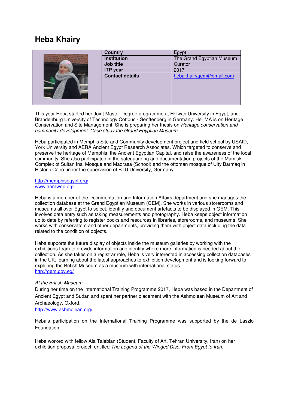# **Heba Khairy**



This year Heba started her Joint Master Degree programme at Helwan University in Egypt, and Brandenburg University of Technology Cottbus - Senftenberg in Germany. Her MA is on Heritage Conservation and Site Management. She is preparing her thesis on *Heritage conservation and community development: Case study the Grand Egyptian Museum*.

Heba participated in Memphis Site and Community development project and field school by USAID, York University and AERA Ancient Egypt Research Associates. Which targeted to conserve and preserve the heritage of Memphis, the Ancient Egyptian Capital, and raise the awareness of the local community. She also participated in the safeguarding and documentation projects of the Mamluk Complex of Sultan Inal Mosque and Madrasa (School) and the ottoman mosque of Ulty Barmaq in Historic Cairo under the supervision of BTU University, Germany.

### <http://memphisegypt.org/> [www.aeraweb.org](http://www.aeraweb.org/)

Heba is a member of the Documentation and Information Affairs department and she manages the collection database at the Grand Egyptian Museum (GEM). She works in various storerooms and museums all over Egypt to select, identify and document artefacts to be displayed in GEM. This involves data entry such as taking measurements and photography. Heba keeps object information up to date by referring to register books and resources in libraries, storerooms, and museums. She works with conservators and other departments, providing them with object data including the data related to the condition of objects.

Heba supports the future display of objects inside the museum galleries by working with the exhibitions team to provide information and identify where more information is needed about the collection. As she takes on a registrar role, Heba is very interested in accessing collection databases in the UK, learning about the latest approaches to exhibition development and is looking forward to exploring the British Museum as a museum with international status. <http://gem.gov.eg/>

### *At the British Museum*

During her time on the International Training Programme 2017, Heba was based in the Department of Ancient Egypt and Sudan and spent her partner placement with the Ashmolean Museum of Art and Archaeology, Oxford.

### <http://www.ashmolean.org/>

Heba's participation on the International Training Programme was supported by the de Laszlo Foundation.

Heba worked with fellow Ala Talebian (Student, Faculty of Art, Tehran University, Iran) on her exhibition proposal project, entitled *The Legend of the Winged Disc: From Egypt to Iran.*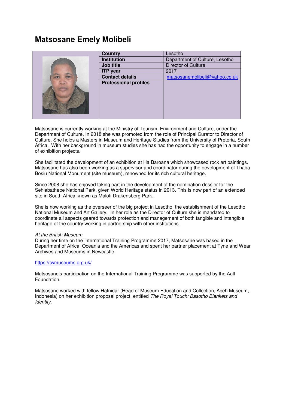## **Matsosane Emely Molibeli**



| <b>Country</b>               | Lesotho                        |
|------------------------------|--------------------------------|
| <b>Institution</b>           | Department of Culture, Lesotho |
| <b>Job title</b>             | Director of Culture            |
| <b>ITP</b> year              | 2017                           |
| <b>Contact details</b>       | matsosanemolibeli@yahoo.co.uk  |
| <b>Professional profiles</b> |                                |
|                              |                                |

Matsosane is currently working at the Ministry of Tourism, Environment and Culture, under the Department of Culture. In 2018 she was promoted from the role of Principal Curator to Director of Culture. She holds a Masters in Museum and Heritage Studies from the University of Pretoria, South Africa. With her background in museum studies she has had the opportunity to engage in a number of exhibition projects.

She facilitated the development of an exhibition at Ha Baroana which showcased rock art paintings. Matsosane has also been working as a supervisor and coordinator during the development of Thaba Bosiu National Monument (site museum), renowned for its rich cultural heritage.

Since 2008 she has enjoyed taking part in the development of the nomination dossier for the Sehlabathebe National Park, given World Heritage status in 2013. This is now part of an extended site in South Africa known as Maloti Drakensberg Park.

She is now working as the overseer of the big project in Lesotho, the establishment of the Lesotho National Museum and Art Gallery. In her role as the Director of Culture she is mandated to coordinate all aspects geared towards protection and management of both tangible and intangible heritage of the country working in partnership with other institutions.

### *At the British Museum*

During her time on the International Training Programme 2017, Matsosane was based in the Department of Africa, Oceania and the Americas and spent her partner placement at Tyne and Wear Archives and Museums in Newcastle

### <https://twmuseums.org.uk/>

Matsosane's participation on the International Training Programme was supported by the Aall Foundation.

Matsosane worked with fellow Hafnidar (Head of Museum Education and Collection, Aceh Museum, Indonesia) on her exhibition proposal project, entitled *The Royal Touch: Basotho Blankets and Identity*.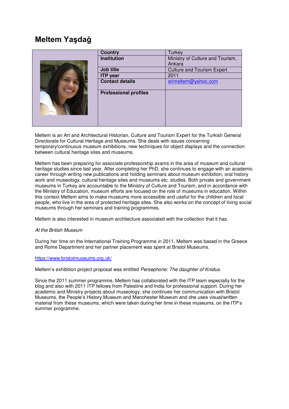# **Meltem Yaşdağ**

| <b>Country</b>               | <b>Turkey</b>                     |
|------------------------------|-----------------------------------|
| <b>Institution</b>           | Ministry of Culture and Tourism,  |
|                              | Ankara                            |
| Job title                    | <b>Culture and Tourism Expert</b> |
| <b>ITP</b> year              | 2011                              |
| <b>Contact details</b>       | arimeltem@yahoo.com               |
| <b>Professional profiles</b> |                                   |

Meltem is an Art and Architectural Historian, Culture and Tourism Expert for the Turkish General Directorate for Cultural Heritage and Museums. She deals with issues concerning temporary/continuous museum exhibitions, new techniques for object displays and the connection between cultural heritage sites and museums.

Meltem has been preparing for associate professorship exams in the area of museum and cultural heritage studies since last year. After completing her PhD, she continues to engage with an academic career through writing new publications and holding seminars about museum exhibition, oral history work and museology, cultural heritage sites and museums etc. studies. Both private and government museums in Turkey are accountable to the Ministry of Culture and Tourism, and in accordance with the Ministry of Education, museum efforts are focused on the role of museums in education. Within this context Meltem aims to make museums more accessible and useful for the children and local people, who live in the area of protected heritage sites. She also works on the concept of living social museums through her seminars and training programmes.

Meltem is also interested in museum architecture associated with the collection that it has.

### *At the British Museum*

During her time on the International Training Programme in 2011, Meltem was based in the Greece and Rome Department and her partner placement was spent at Bristol Museums.

### <https://www.bristolmuseums.org.uk/>

Meltem's exhibition project proposal was entitled *Persephone: The daughter of Knidus.* 

Since the 2011 summer programme, Meltem has collaborated with the ITP team especially for the blog and also with 2011 ITP fellows from Palestine and India for professional support. During her academic and Ministry projects about museology, she continues her communication with Bristol Museums, the People's History Museum and Manchester Museum and she uses visual/written material from these museums, which were taken during her time in these museums, on the ITP's summer programme.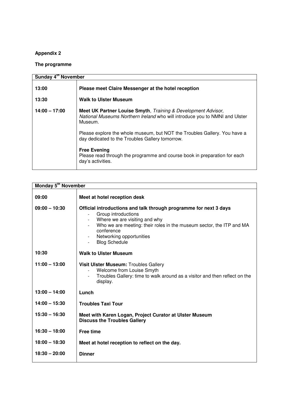### **Appendix 2**

### **The programme**

| Sunday 4 <sup>th</sup> November |                                                                                                                                                                                                                                                                                                                                                                                                                  |
|---------------------------------|------------------------------------------------------------------------------------------------------------------------------------------------------------------------------------------------------------------------------------------------------------------------------------------------------------------------------------------------------------------------------------------------------------------|
| 13:00                           | Please meet Claire Messenger at the hotel reception                                                                                                                                                                                                                                                                                                                                                              |
| 13:30                           | <b>Walk to Ulster Museum</b>                                                                                                                                                                                                                                                                                                                                                                                     |
| $14:00 - 17:00$                 | Meet UK Partner Louise Smyth, Training & Development Advisor,<br>National Museums Northern Ireland who will introduce you to NMNI and Ulster<br>Museum.<br>Please explore the whole museum, but NOT the Troubles Gallery. You have a<br>day dedicated to the Troubles Gallery tomorrow.<br><b>Free Evening</b><br>Please read through the programme and course book in preparation for each<br>day's activities. |

| Monday 5 <sup>th</sup> November |                                                                                                                                                                                                                                                                     |  |
|---------------------------------|---------------------------------------------------------------------------------------------------------------------------------------------------------------------------------------------------------------------------------------------------------------------|--|
| 09:00                           | Meet at hotel reception desk                                                                                                                                                                                                                                        |  |
| $09:00 - 10:30$                 | Official introductions and talk through programme for next 3 days<br>Group introductions<br>Where we are visiting and why<br>Who we are meeting: their roles in the museum sector, the ITP and MA<br>conference<br>Networking opportunities<br><b>Blog Schedule</b> |  |
| 10:30                           | <b>Walk to Ulster Museum</b>                                                                                                                                                                                                                                        |  |
| $11:00 - 13:00$                 | Visit Ulster Museum: Troubles Gallery<br>Welcome from Louise Smyth<br>Troubles Gallery: time to walk around as a visitor and then reflect on the<br>display.                                                                                                        |  |
| $13:00 - 14:00$                 | Lunch                                                                                                                                                                                                                                                               |  |
| $14:00 - 15:30$                 | <b>Troubles Taxi Tour</b>                                                                                                                                                                                                                                           |  |
| $15:30 - 16:30$                 | Meet with Karen Logan, Project Curator at Ulster Museum<br><b>Discuss the Troubles Gallery</b>                                                                                                                                                                      |  |
| $16:30 - 18:00$                 | <b>Free time</b>                                                                                                                                                                                                                                                    |  |
| $18:00 - 18:30$                 | Meet at hotel reception to reflect on the day.                                                                                                                                                                                                                      |  |
| $18:30 - 20:00$                 | <b>Dinner</b>                                                                                                                                                                                                                                                       |  |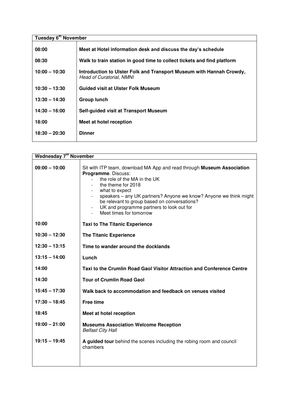| Tuesday 6 <sup>th</sup> November |                                                                                                  |
|----------------------------------|--------------------------------------------------------------------------------------------------|
| 08:00                            | Meet at Hotel information desk and discuss the day's schedule                                    |
| 08:30                            | Walk to train station in good time to collect tickets and find platform                          |
| $10:00 - 10:30$                  | Introduction to Ulster Folk and Transport Museum with Hannah Crowdy,<br>Head of Curatorial, NMNI |
| $10:30 - 13:30$                  | <b>Guided visit at Ulster Folk Museum</b>                                                        |
| $13:30 - 14:30$                  | <b>Group lunch</b>                                                                               |
| $14:30 - 16:00$                  | Self-guided visit at Transport Museum                                                            |
| 18:00                            | Meet at hotel reception                                                                          |
| $18:30 - 20:30$                  | <b>Dinner</b>                                                                                    |

| <b>Wednesday 7<sup>th</sup> November</b> |                                                                                                                                                                                                                                                                                                                                                                           |
|------------------------------------------|---------------------------------------------------------------------------------------------------------------------------------------------------------------------------------------------------------------------------------------------------------------------------------------------------------------------------------------------------------------------------|
| $09:00 - 10:00$                          | Sit with ITP team, download MA App and read through <b>Museum Association</b><br>Programme. Discuss:<br>the role of the MA in the UK<br>the theme for 2018<br>what to expect<br>speakers - any UK partners? Anyone we know? Anyone we think might<br>be relevant to group based on conversations?<br>UK and programme partners to look out for<br>Meet times for tomorrow |
| 10:00                                    | <b>Taxi to The Titanic Experience</b>                                                                                                                                                                                                                                                                                                                                     |
| $10:30 - 12:30$                          | <b>The Titanic Experience</b>                                                                                                                                                                                                                                                                                                                                             |
| $12:30 - 13:15$                          | Time to wander around the docklands                                                                                                                                                                                                                                                                                                                                       |
| $13:15 - 14:00$                          | Lunch                                                                                                                                                                                                                                                                                                                                                                     |
| 14:00                                    | Taxi to the Crumlin Road Gaol Visitor Attraction and Conference Centre                                                                                                                                                                                                                                                                                                    |
| 14:30                                    | <b>Tour of Crumlin Road Gaol</b>                                                                                                                                                                                                                                                                                                                                          |
| $15:45 - 17:30$                          | Walk back to accommodation and feedback on venues visited                                                                                                                                                                                                                                                                                                                 |
| $17:30 - 18:45$                          | <b>Free time</b>                                                                                                                                                                                                                                                                                                                                                          |
| 18:45                                    | Meet at hotel reception                                                                                                                                                                                                                                                                                                                                                   |
| $19:00 - 21:00$                          | <b>Museums Association Welcome Reception</b><br><b>Belfast City Hall</b>                                                                                                                                                                                                                                                                                                  |
| $19:15 - 19:45$                          | A guided tour behind the scenes including the robing room and council<br>chambers                                                                                                                                                                                                                                                                                         |